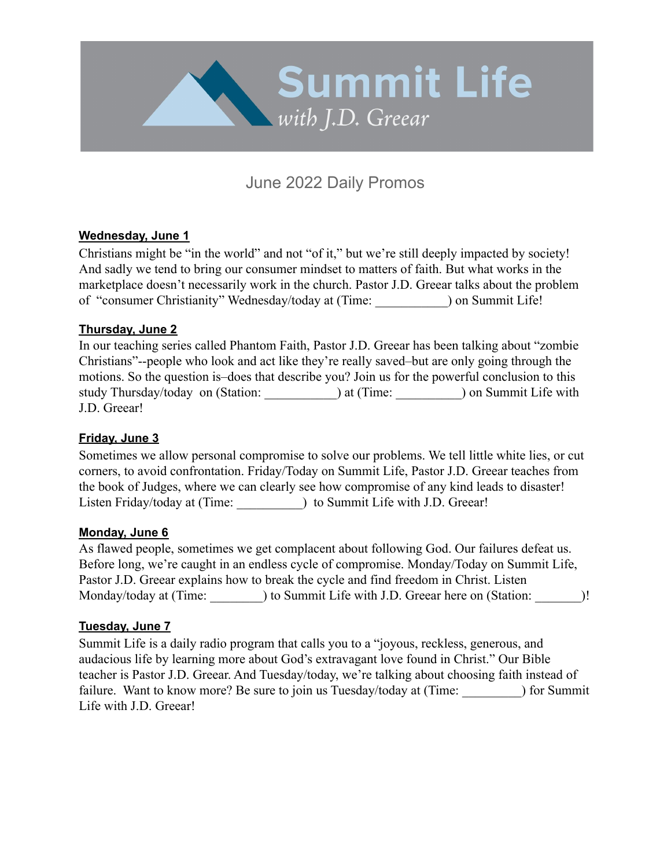

# June 2022 Daily Promos

## **Wednesday, June 1**

Christians might be "in the world" and not "of it," but we're still deeply impacted by society! And sadly we tend to bring our consumer mindset to matters of faith. But what works in the marketplace doesn't necessarily work in the church. Pastor J.D. Greear talks about the problem of "consumer Christianity" Wednesday/today at (Time: \_\_\_\_\_\_\_\_\_\_\_) on Summit Life!

### **Thursday, June 2**

In our teaching series called Phantom Faith, Pastor J.D. Greear has been talking about "zombie Christians"--people who look and act like they're really saved–but are only going through the motions. So the question is–does that describe you? Join us for the powerful conclusion to this study Thursday/today on (Station: ) at (Time: ) on Summit Life with J.D. Greear!

## **Friday, June 3**

Sometimes we allow personal compromise to solve our problems. We tell little white lies, or cut corners, to avoid confrontation. Friday/Today on Summit Life, Pastor J.D. Greear teaches from the book of Judges, where we can clearly see how compromise of any kind leads to disaster! Listen Friday/today at (Time: ) to Summit Life with J.D. Greear!

### **Monday, June 6**

As flawed people, sometimes we get complacent about following God. Our failures defeat us. Before long, we're caught in an endless cycle of compromise. Monday/Today on Summit Life, Pastor J.D. Greear explains how to break the cycle and find freedom in Christ. Listen Monday/today at (Time: \_\_\_\_\_\_\_\_) to Summit Life with J.D. Greear here on (Station: \_\_\_\_\_\_\_)!

### **Tuesday, June 7**

Summit Life is a daily radio program that calls you to a "joyous, reckless, generous, and audacious life by learning more about God's extravagant love found in Christ." Our Bible teacher is Pastor J.D. Greear. And Tuesday/today, we're talking about choosing faith instead of failure. Want to know more? Be sure to join us Tuesday/today at (Time: ) for Summit Life with J.D. Greear!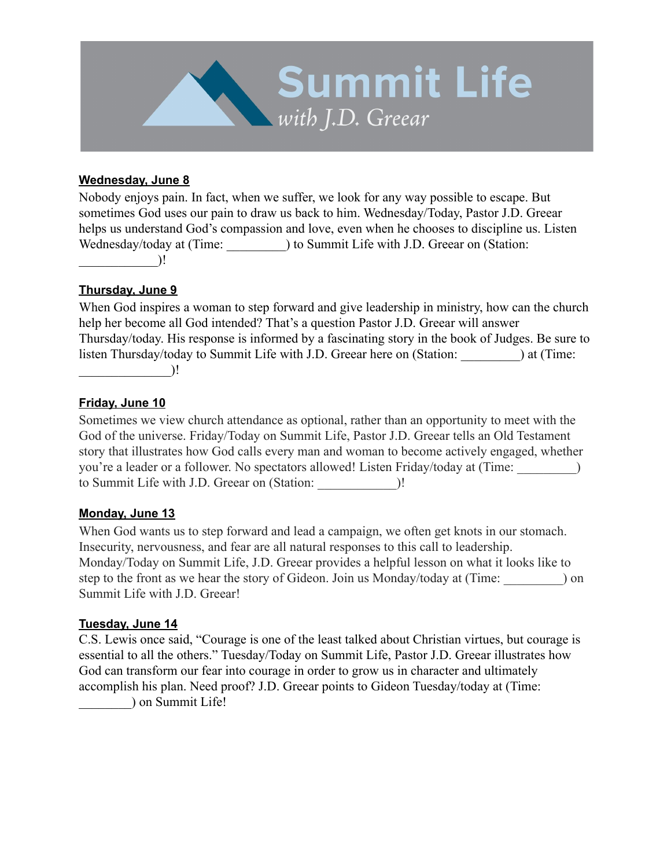

## **Wednesday, June 8**

Nobody enjoys pain. In fact, when we suffer, we look for any way possible to escape. But sometimes God uses our pain to draw us back to him. Wednesday/Today, Pastor J.D. Greear helps us understand God's compassion and love, even when he chooses to discipline us. Listen Wednesday/today at (Time: ) to Summit Life with J.D. Greear on (Station:  $\bigcup$ 

### **Thursday, June 9**

When God inspires a woman to step forward and give leadership in ministry, how can the church help her become all God intended? That's a question Pastor J.D. Greear will answer Thursday/today. His response is informed by a fascinating story in the book of Judges. Be sure to listen Thursday/today to Summit Life with J.D. Greear here on (Station: ) at (Time:  $\qquad \qquad$ 

### **Friday, June 10**

Sometimes we view church attendance as optional, rather than an opportunity to meet with the God of the universe. Friday/Today on Summit Life, Pastor J.D. Greear tells an Old Testament story that illustrates how God calls every man and woman to become actively engaged, whether you're a leader or a follower. No spectators allowed! Listen Friday/today at (Time: \_\_\_\_\_\_\_\_\_) to Summit Life with J.D. Greear on (Station: \_\_\_\_\_\_\_\_\_\_\_\_)!

### **Monday, June 13**

When God wants us to step forward and lead a campaign, we often get knots in our stomach. Insecurity, nervousness, and fear are all natural responses to this call to leadership. Monday/Today on Summit Life, J.D. Greear provides a helpful lesson on what it looks like to step to the front as we hear the story of Gideon. Join us Monday/today at (Time: ) on Summit Life with J.D. Greear!

### **Tuesday, June 14**

C.S. Lewis once said, "Courage is one of the least talked about Christian virtues, but courage is essential to all the others." Tuesday/Today on Summit Life, Pastor J.D. Greear illustrates how God can transform our fear into courage in order to grow us in character and ultimately accomplish his plan. Need proof? J.D. Greear points to Gideon Tuesday/today at (Time: \_\_\_\_\_\_\_\_) on Summit Life!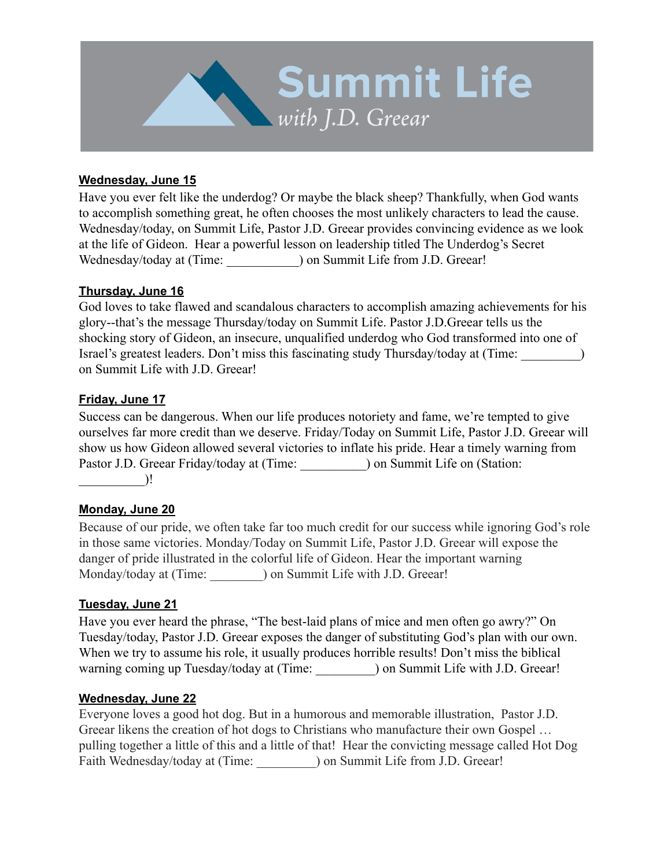

## **Wednesday, June 15**

Have you ever felt like the underdog? Or maybe the black sheep? Thankfully, when God wants to accomplish something great, he often chooses the most unlikely characters to lead the cause. Wednesday/today, on Summit Life, Pastor J.D. Greear provides convincing evidence as we look at the life of Gideon. Hear a powerful lesson on leadership titled The Underdog's Secret Wednesday/today at (Time: ) on Summit Life from J.D. Greear!

### **Thursday, June 16**

God loves to take flawed and scandalous characters to accomplish amazing achievements for his glory--that's the message Thursday/today on Summit Life. Pastor J.D.Greear tells us the shocking story of Gideon, an insecure, unqualified underdog who God transformed into one of Israel's greatest leaders. Don't miss this fascinating study Thursday/today at (Time: \_\_\_\_\_\_\_\_\_) on Summit Life with J.D. Greear!

### **Friday, June 17**

Success can be dangerous. When our life produces notoriety and fame, we're tempted to give ourselves far more credit than we deserve. Friday/Today on Summit Life, Pastor J.D. Greear will show us how Gideon allowed several victories to inflate his pride. Hear a timely warning from Pastor J.D. Greear Friday/today at (Time: ) on Summit Life on (Station:  $\qquad \qquad$ 

### **Monday, June 20**

Because of our pride, we often take far too much credit for our success while ignoring God's role in those same victories. Monday/Today on Summit Life, Pastor J.D. Greear will expose the danger of pride illustrated in the colorful life of Gideon. Hear the important warning Monday/today at (Time: ) on Summit Life with J.D. Greear!

### **Tuesday, June 21**

Have you ever heard the phrase, "The best-laid plans of mice and men often go awry?" On Tuesday/today, Pastor J.D. Greear exposes the danger of substituting God's plan with our own. When we try to assume his role, it usually produces horrible results! Don't miss the biblical warning coming up Tuesday/today at (Time: ) on Summit Life with J.D. Greear!

### **Wednesday, June 22**

Everyone loves a good hot dog. But in a humorous and memorable illustration, Pastor J.D. Greear likens the creation of hot dogs to Christians who manufacture their own Gospel … pulling together a little of this and a little of that! Hear the convicting message called Hot Dog Faith Wednesday/today at (Time:  $\qquad$  ) on Summit Life from J.D. Greear!